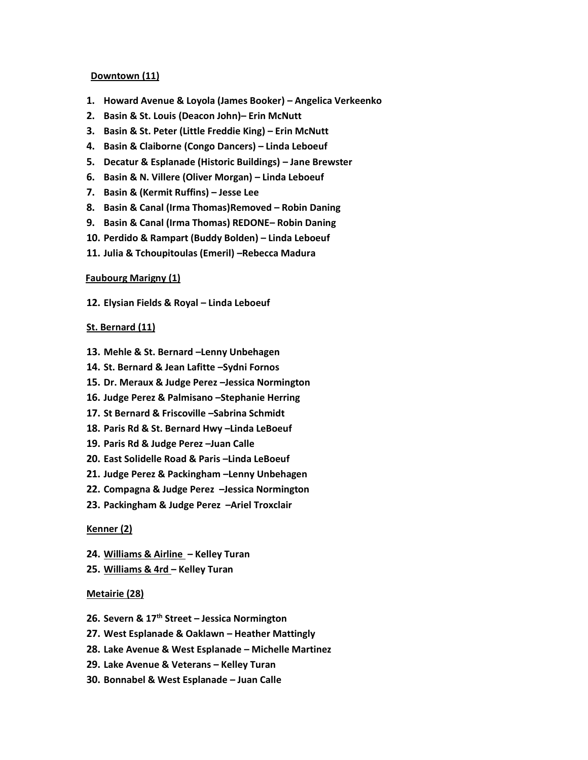### **Downtown (11)**

- **1. Howard Avenue & Loyola (James Booker) – Angelica Verkeenko**
- **2. Basin & St. Louis (Deacon John)– Erin McNutt**
- **3. Basin & St. Peter (Little Freddie King) – Erin McNutt**
- **4. Basin & Claiborne (Congo Dancers) – Linda Leboeuf**
- **5. Decatur & Esplanade (Historic Buildings) – Jane Brewster**
- **6. Basin & N. Villere (Oliver Morgan) – Linda Leboeuf**
- **7. Basin & (Kermit Ruffins) – Jesse Lee**
- **8. Basin & Canal (Irma Thomas)Removed – Robin Daning**
- **9. Basin & Canal (Irma Thomas) REDONE– Robin Daning**
- **10. Perdido & Rampart (Buddy Bolden) – Linda Leboeuf**
- **11. Julia & Tchoupitoulas (Emeril) –Rebecca Madura**

#### **Faubourg Marigny (1)**

**12. Elysian Fields & Royal – Linda Leboeuf**

## **St. Bernard (11)**

- **13. Mehle & St. Bernard –Lenny Unbehagen**
- **14. St. Bernard & Jean Lafitte –Sydni Fornos**
- **15. Dr. Meraux & Judge Perez –Jessica Normington**
- **16. Judge Perez & Palmisano –Stephanie Herring**
- **17. St Bernard & Friscoville –Sabrina Schmidt**
- **18. Paris Rd & St. Bernard Hwy –Linda LeBoeuf**
- **19. Paris Rd & Judge Perez –Juan Calle**
- **20. East Solidelle Road & Paris –Linda LeBoeuf**
- **21. Judge Perez & Packingham –Lenny Unbehagen**
- **22. Compagna & Judge Perez –Jessica Normington**
- **23. Packingham & Judge Perez –Ariel Troxclair**

#### **Kenner (2)**

- **24. Williams & Airline – Kelley Turan**
- **25. Williams & 4rd – Kelley Turan**

#### **Metairie (28)**

- **26. Severn & 17th Street – Jessica Normington**
- **27. West Esplanade & Oaklawn – Heather Mattingly**
- **28. Lake Avenue & West Esplanade – Michelle Martinez**
- **29. Lake Avenue & Veterans – Kelley Turan**
- **30. Bonnabel & West Esplanade – Juan Calle**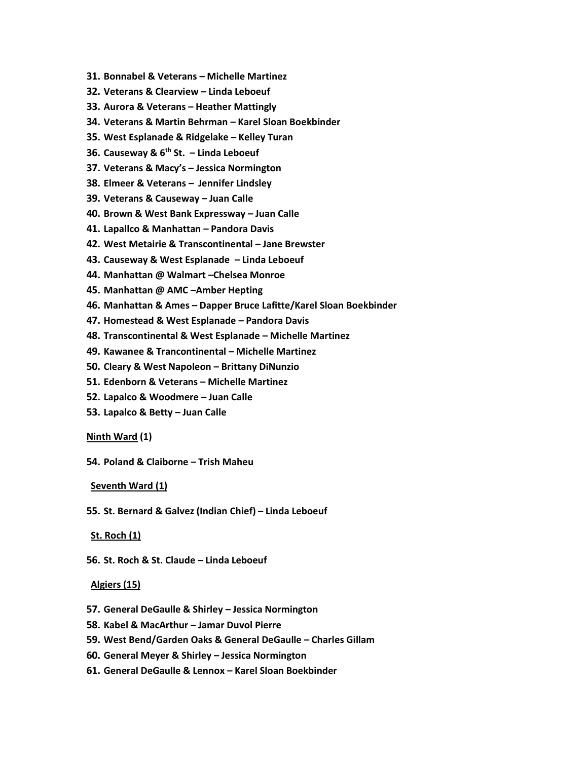- **31. Bonnabel & Veterans – Michelle Martinez**
- **32. Veterans & Clearview – Linda Leboeuf**
- **33. Aurora & Veterans – Heather Mattingly**
- **34. Veterans & Martin Behrman – Karel Sloan Boekbinder**
- **35. West Esplanade & Ridgelake – Kelley Turan**
- **36. Causeway & 6th St. – Linda Leboeuf**
- **37. Veterans & Macy's – Jessica Normington**
- **38. Elmeer & Veterans – Jennifer Lindsley**
- **39. Veterans & Causeway – Juan Calle**
- **40. Brown & West Bank Expressway – Juan Calle**
- **41. Lapallco & Manhattan – Pandora Davis**
- **42. West Metairie & Transcontinental – Jane Brewster**
- **43. Causeway & West Esplanade – Linda Leboeuf**
- **44. Manhattan @ Walmart –Chelsea Monroe**
- **45. Manhattan @ AMC –Amber Hepting**
- **46. Manhattan & Ames – Dapper Bruce Lafitte/Karel Sloan Boekbinder**
- **47. Homestead & West Esplanade – Pandora Davis**
- **48. Transcontinental & West Esplanade – Michelle Martinez**
- **49. Kawanee & Trancontinental – Michelle Martinez**
- **50. Cleary & West Napoleon – Brittany DiNunzio**
- **51. Edenborn & Veterans – Michelle Martinez**
- **52. Lapalco & Woodmere – Juan Calle**
- **53. Lapalco & Betty – Juan Calle**

#### **Ninth Ward (1)**

**54. Poland & Claiborne – Trish Maheu**

#### **Seventh Ward (1)**

**55. St. Bernard & Galvez (Indian Chief) – Linda Leboeuf**

## **St. Roch (1)**

**56. St. Roch & St. Claude – Linda Leboeuf**

## **Algiers (15)**

- **57. General DeGaulle & Shirley – Jessica Normington**
- **58. Kabel & MacArthur – Jamar Duvol Pierre**
- **59. West Bend/Garden Oaks & General DeGaulle – Charles Gillam**
- **60. General Meyer & Shirley – Jessica Normington**
- **61. General DeGaulle & Lennox – Karel Sloan Boekbinder**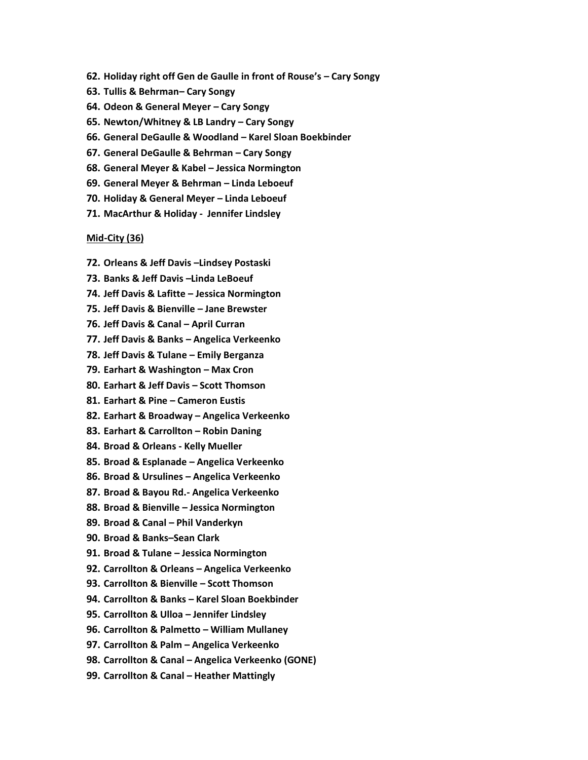- **62. Holiday right off Gen de Gaulle in front of Rouse's – Cary Songy**
- **63. Tullis & Behrman– Cary Songy**
- **64. Odeon & General Meyer – Cary Songy**
- **65. Newton/Whitney & LB Landry – Cary Songy**
- **66. General DeGaulle & Woodland – Karel Sloan Boekbinder**
- **67. General DeGaulle & Behrman – Cary Songy**
- **68. General Meyer & Kabel – Jessica Normington**
- **69. General Meyer & Behrman – Linda Leboeuf**
- **70. Holiday & General Meyer – Linda Leboeuf**
- **71. MacArthur & Holiday Jennifer Lindsley**

#### **Mid-City (36)**

- **72. Orleans & Jeff Davis –Lindsey Postaski**
- **73. Banks & Jeff Davis –Linda LeBoeuf**
- **74. Jeff Davis & Lafitte – Jessica Normington**
- **75. Jeff Davis & Bienville – Jane Brewster**
- **76. Jeff Davis & Canal – April Curran**
- **77. Jeff Davis & Banks – Angelica Verkeenko**
- **78. Jeff Davis & Tulane – Emily Berganza**
- **79. Earhart & Washington – Max Cron**
- **80. Earhart & Jeff Davis – Scott Thomson**
- **81. Earhart & Pine – Cameron Eustis**
- **82. Earhart & Broadway – Angelica Verkeenko**
- **83. Earhart & Carrollton – Robin Daning**
- **84. Broad & Orleans - Kelly Mueller**
- **85. Broad & Esplanade – Angelica Verkeenko**
- **86. Broad & Ursulines – Angelica Verkeenko**
- **87. Broad & Bayou Rd.- Angelica Verkeenko**
- **88. Broad & Bienville – Jessica Normington**
- **89. Broad & Canal – Phil Vanderkyn**
- **90. Broad & Banks–Sean Clark**
- **91. Broad & Tulane – Jessica Normington**
- **92. Carrollton & Orleans – Angelica Verkeenko**
- **93. Carrollton & Bienville – Scott Thomson**
- **94. Carrollton & Banks – Karel Sloan Boekbinder**
- **95. Carrollton & Ulloa – Jennifer Lindsley**
- **96. Carrollton & Palmetto – William Mullaney**
- **97. Carrollton & Palm – Angelica Verkeenko**
- **98. Carrollton & Canal – Angelica Verkeenko (GONE)**
- **99. Carrollton & Canal – Heather Mattingly**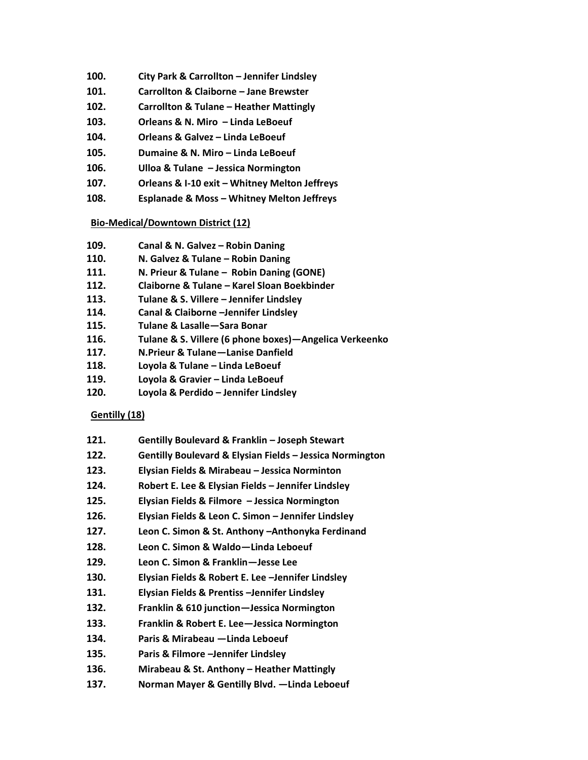- **100. City Park & Carrollton – Jennifer Lindsley**
- **101. Carrollton & Claiborne – Jane Brewster**
- **102. Carrollton & Tulane – Heather Mattingly**
- **103. Orleans & N. Miro – Linda LeBoeuf**
- **104. Orleans & Galvez – Linda LeBoeuf**
- **105. Dumaine & N. Miro – Linda LeBoeuf**
- **106. Ulloa & Tulane – Jessica Normington**
- **107. Orleans & I-10 exit – Whitney Melton Jeffreys**
- **108. Esplanade & Moss – Whitney Melton Jeffreys**

## **Bio-Medical/Downtown District (12)**

- **109. Canal & N. Galvez – Robin Daning**
- **110. N. Galvez & Tulane – Robin Daning**
- **111. N. Prieur & Tulane – Robin Daning (GONE)**
- **112. Claiborne & Tulane – Karel Sloan Boekbinder**
- **113. Tulane & S. Villere – Jennifer Lindsley**
- **114. Canal & Claiborne –Jennifer Lindsley**
- **115. Tulane & Lasalle—Sara Bonar**
- **116. Tulane & S. Villere (6 phone boxes)—Angelica Verkeenko**
- **117. N.Prieur & Tulane—Lanise Danfield**
- **118. Loyola & Tulane – Linda LeBoeuf**
- **119. Loyola & Gravier – Linda LeBoeuf**
- **120. Loyola & Perdido – Jennifer Lindsley**

# **Gentilly (18)**

- **121. Gentilly Boulevard & Franklin – Joseph Stewart**
- **122. Gentilly Boulevard & Elysian Fields – Jessica Normington**
- **123. Elysian Fields & Mirabeau – Jessica Norminton**
- **124. Robert E. Lee & Elysian Fields – Jennifer Lindsley**
- **125. Elysian Fields & Filmore – Jessica Normington**
- **126. Elysian Fields & Leon C. Simon – Jennifer Lindsley**
- **127. Leon C. Simon & St. Anthony –Anthonyka Ferdinand**
- **128. Leon C. Simon & Waldo—Linda Leboeuf**
- **129. Leon C. Simon & Franklin—Jesse Lee**
- **130. Elysian Fields & Robert E. Lee –Jennifer Lindsley**
- **131. Elysian Fields & Prentiss –Jennifer Lindsley**
- **132. Franklin & 610 junction—Jessica Normington**
- **133. Franklin & Robert E. Lee—Jessica Normington**
- **134. Paris & Mirabeau —Linda Leboeuf**
- **135. Paris & Filmore –Jennifer Lindsley**
- **136. Mirabeau & St. Anthony – Heather Mattingly**
- **137. Norman Mayer & Gentilly Blvd. —Linda Leboeuf**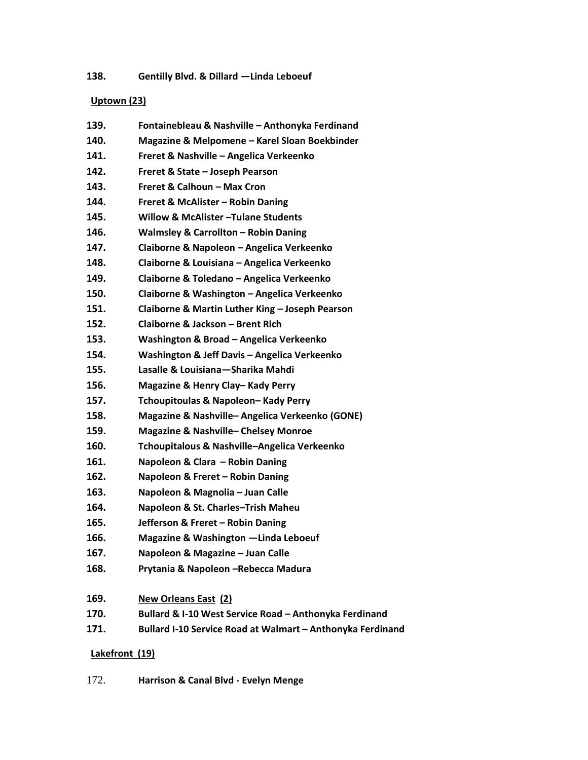# **138. Gentilly Blvd. & Dillard —Linda Leboeuf**

# **Uptown (23)**

| 139. | Fontainebleau & Nashville - Anthonyka Ferdinand            |
|------|------------------------------------------------------------|
| 140. | Magazine & Melpomene - Karel Sloan Boekbinder              |
| 141. | Freret & Nashville - Angelica Verkeenko                    |
| 142. | Freret & State - Joseph Pearson                            |
| 143. | Freret & Calhoun - Max Cron                                |
| 144. | <b>Freret &amp; McAlister - Robin Daning</b>               |
| 145. | <b>Willow &amp; McAlister-Tulane Students</b>              |
| 146. | <b>Walmsley &amp; Carrollton - Robin Daning</b>            |
| 147. | Claiborne & Napoleon - Angelica Verkeenko                  |
| 148. | Claiborne & Louisiana - Angelica Verkeenko                 |
| 149. | Claiborne & Toledano - Angelica Verkeenko                  |
| 150. | Claiborne & Washington - Angelica Verkeenko                |
| 151. | Claiborne & Martin Luther King - Joseph Pearson            |
| 152. | Claiborne & Jackson - Brent Rich                           |
| 153. | Washington & Broad - Angelica Verkeenko                    |
| 154. | Washington & Jeff Davis - Angelica Verkeenko               |
| 155. | Lasalle & Louisiana - Sharika Mahdi                        |
| 156. | Magazine & Henry Clay-Kady Perry                           |
| 157. | Tchoupitoulas & Napoleon-Kady Perry                        |
| 158. | Magazine & Nashville-Angelica Verkeenko (GONE)             |
| 159. | <b>Magazine &amp; Nashville-Chelsey Monroe</b>             |
| 160. | Tchoupitalous & Nashville-Angelica Verkeenko               |
| 161. | Napoleon & Clara - Robin Daning                            |
| 162. | Napoleon & Freret - Robin Daning                           |
| 163. | Napoleon & Magnolia - Juan Calle                           |
| 164. | Napoleon & St. Charles-Trish Maheu                         |
| 165. | Jefferson & Freret - Robin Daning                          |
| 166. | Magazine & Washington -Linda Leboeuf                       |
| 167. | Napoleon & Magazine - Juan Calle                           |
| 168. | Prytania & Napoleon - Rebecca Madura                       |
| 169. | <b>New Orleans East (2)</b>                                |
| 170. | Bullard & I-10 West Service Road - Anthonyka Ferdinand     |
| 171. | Bullard I-10 Service Road at Walmart - Anthonyka Ferdinand |

## **Lakefront (19)**

172. **Harrison & Canal Blvd - Evelyn Menge**